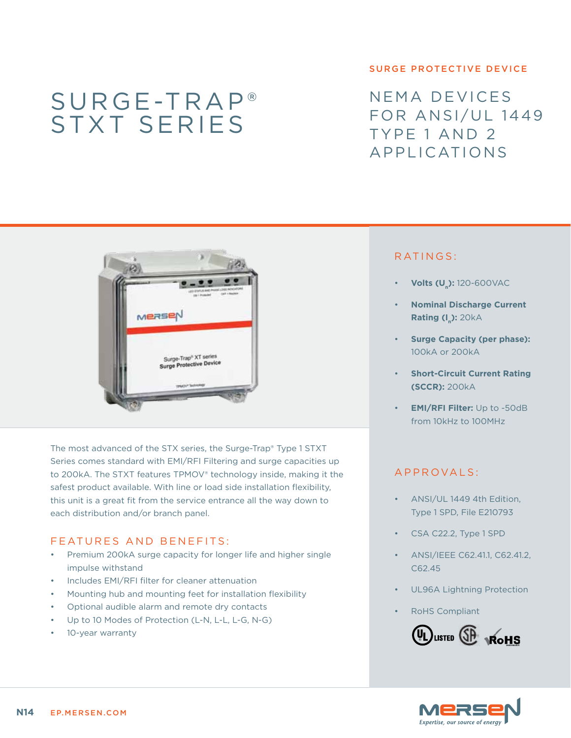# Surge-Trap® STXT series

#### surge protective device

NEMA devices FOR ANSI/UL 1449 Type 1 and 2 Applications



The most advanced of the STX series, the Surge-Trap® Type 1 STXT Series comes standard with EMI/RFI Filtering and surge capacities up to 200kA. The STXT features TPMOV® technology inside, making it the safest product available. With line or load side installation flexibility, this unit is a great fit from the service entrance all the way down to each distribution and/or branch panel.

### FEATURES AND BENEFITS:

- Premium 200kA surge capacity for longer life and higher single impulse withstand
- Includes EMI/RFI filter for cleaner attenuation
- • Mounting hub and mounting feet for installation flexibility
- Optional audible alarm and remote dry contacts
- Up to 10 Modes of Protection (L-N, L-L, L-G, N-G)
- 10-year warranty

# RATINGS:

- **Volts (U<sub>n</sub>):** 120-600VAC
- **Nominal Discharge Current Rating (I<sub>n</sub>): 20kA**
- **Surge Capacity (per phase):** 100kA or 200kA
- **Short-Circuit Current Rating (SCCR):** 200kA
- **EMI/RFI Filter:** Up to -50dB from 10kHz to 100MHz

# a pproval s :

- ANSI/UL 1449 4th Edition, Type 1 SPD, File E210793
- CSA C22.2, Type 1 SPD
- ANSI/IEEE C62.41.1, C62.41.2, C62.45
- UL96A Lightning Protection
- **RoHS Compliant**